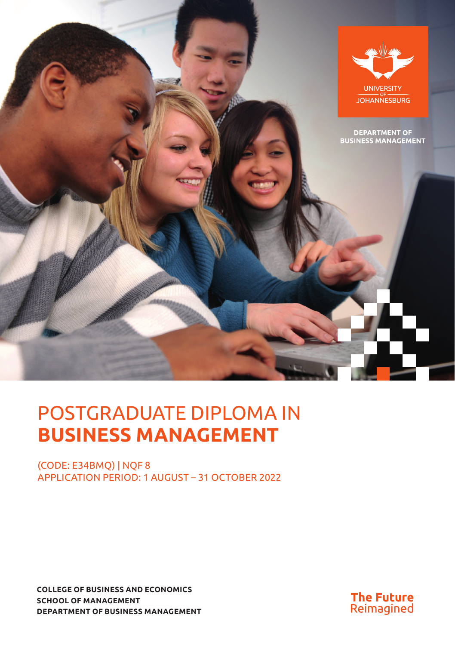

# POSTGRADUATE DIPLOMA IN **BUSINESS MANAGEMENT**

(CODE: E34BMQ) | NQF 8 APPLICATION PERIOD: 1 AUGUST – 31 OCTOBER 2022

**COLLEGE OF BUSINESS AND ECONOMICS SCHOOL OF MANAGEMENT DEPARTMENT OF BUSINESS MANAGEMENT**

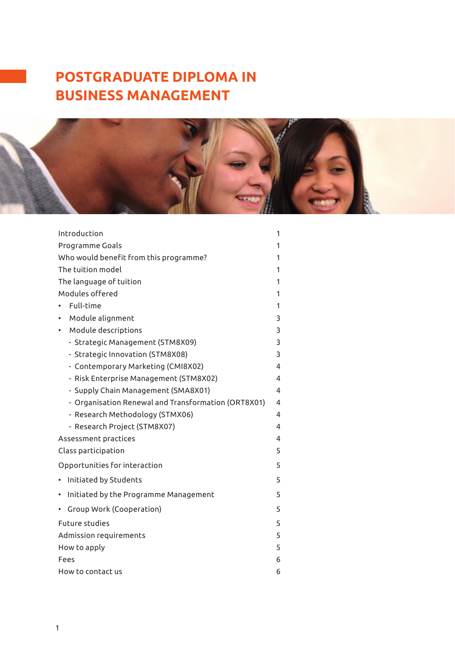## **POSTGRADUATE DIPLOMA IN BUSINESS MANAGEMENT**



| Introduction                                        | 1 |  |
|-----------------------------------------------------|---|--|
| Programme Goals<br>1                                |   |  |
| Who would benefit from this programme?<br>1         |   |  |
| The tuition model                                   | 1 |  |
| The language of tuition                             | 1 |  |
| Modules offered                                     | 1 |  |
| Full-time                                           | 1 |  |
| Module alignment                                    | 3 |  |
| Module descriptions<br>٠                            | 3 |  |
| - Strategic Management (STM8X09)                    | 3 |  |
| - Strategic Innovation (STM8X08)                    | 3 |  |
| - Contemporary Marketing (CMI8X02)                  | 4 |  |
| - Risk Enterprise Management (STM8X02)              | 4 |  |
| - Supply Chain Management (SMA8X01)                 | 4 |  |
| - Organisation Renewal and Transformation (ORT8X01) | 4 |  |
| - Research Methodology (STMX06)                     | 4 |  |
| - Research Project (STM8X07)                        | 4 |  |
| Assessment practices                                | 4 |  |
| 5<br>Class participation                            |   |  |
| Opportunities for interaction                       | 5 |  |
| Initiated by Students                               | 5 |  |
| Initiated by the Programme Management<br>٠          | 5 |  |
| Group Work (Cooperation)                            | 5 |  |
| <b>Future studies</b>                               | 5 |  |
| 5<br>Admission requirements                         |   |  |
| How to apply                                        | 5 |  |
| Fees                                                | 6 |  |
| How to contact us                                   | 6 |  |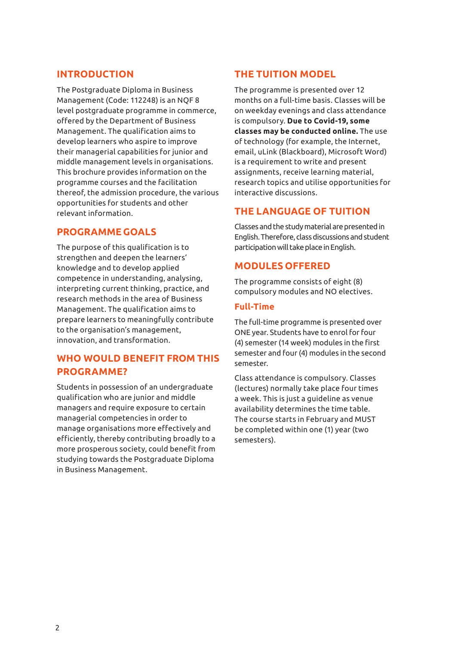#### **INTRODUCTION**

The Postgraduate Diploma in Business Management (Code: 112248) is an NQF 8 level postgraduate programme in commerce, offered by the Department of Business Management. The qualification aims to develop learners who aspire to improve their managerial capabilities for junior and middle management levels in organisations. This brochure provides information on the programme courses and the facilitation thereof, the admission procedure, the various opportunities for students and other relevant information.

#### **PROGRAMME GOALS**

The purpose of this qualification is to strengthen and deepen the learners' knowledge and to develop applied competence in understanding, analysing, interpreting current thinking, practice, and research methods in the area of Business Management. The qualification aims to prepare learners to meaningfully contribute to the organisation's management, innovation, and transformation.

## **WHO WOULD BENEFIT FROM THIS PROGRAMME?**

Students in possession of an undergraduate qualification who are junior and middle managers and require exposure to certain managerial competencies in order to manage organisations more effectively and efficiently, thereby contributing broadly to a more prosperous society, could benefit from studying towards the Postgraduate Diploma in Business Management.

## **THE TUITION MODEL**

The programme is presented over 12 months on a full-time basis. Classes will be on weekday evenings and class attendance is compulsory. **Due to Covid-19, some classes may be conducted online.** The use of technology (for example, the Internet, email, uLink (Blackboard), Microsoft Word) is a requirement to write and present assignments, receive learning material, research topics and utilise opportunities for interactive discussions.

## **THE LANGUAGE OF TUITION**

Classes and the study material are presented in English. Therefore, class discussions and student participation will take place in English.

#### **MODULES OFFERED**

The programme consists of eight (8) compulsory modules and NO electives.

#### **Full-Time**

The full-time programme is presented over ONE year. Students have to enrol for four (4) semester (14 week) modules in the first semester and four (4) modules in the second semester.

Class attendance is compulsory. Classes (lectures) normally take place four times a week. This is just a guideline as venue availability determines the time table. The course starts in February and MUST be completed within one (1) year (two semesters).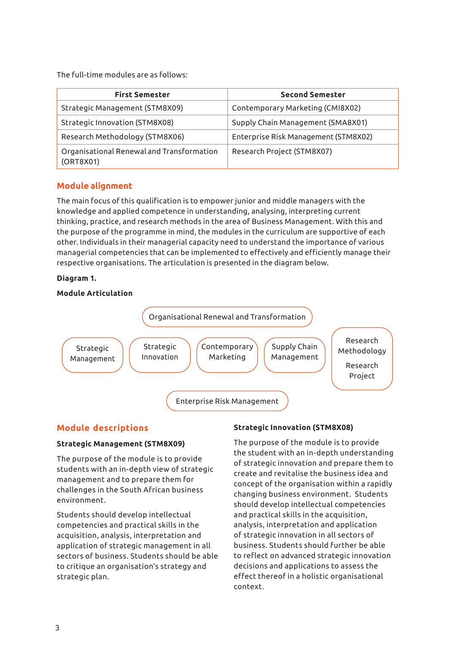The full-time modules are as follows:

| <b>First Semester</b>                                  | <b>Second Semester</b>               |
|--------------------------------------------------------|--------------------------------------|
| Strategic Management (STM8X09)                         | Contemporary Marketing (CMI8X02)     |
| Strategic Innovation (STM8X08)                         | Supply Chain Management (SMA8X01)    |
| Research Methodology (STM8X06)                         | Enterprise Risk Management (STM8X02) |
| Organisational Renewal and Transformation<br>(ORT8X01) | Research Project (STM8X07)           |

#### **Module alignment**

The main focus of this qualification is to empower junior and middle managers with the knowledge and applied competence in understanding, analysing, interpreting current thinking, practice, and research methods in the area of Business Management. With this and the purpose of the programme in mind, the modules in the curriculum are supportive of each other. Individuals in their managerial capacity need to understand the importance of various managerial competencies that can be implemented to effectively and efficiently manage their respective organisations. The articulation is presented in the diagram below.

#### **Diagram 1.**

#### **Module Articulation**



#### **Module descriptions**

#### **Strategic Management (STM8X09)**

The purpose of the module is to provide students with an in-depth view of strategic management and to prepare them for challenges in the South African business environment.

Students should develop intellectual competencies and practical skills in the acquisition, analysis, interpretation and application of strategic management in all sectors of business. Students should be able to critique an organisation's strategy and strategic plan.

#### **Strategic Innovation (STM8X08)**

The purpose of the module is to provide the student with an in-depth understanding of strategic innovation and prepare them to create and revitalise the business idea and concept of the organisation within a rapidly changing business environment. Students should develop intellectual competencies and practical skills in the acquisition, analysis, interpretation and application of strategic innovation in all sectors of business. Students should further be able to reflect on advanced strategic innovation decisions and applications to assess the effect thereof in a holistic organisational context.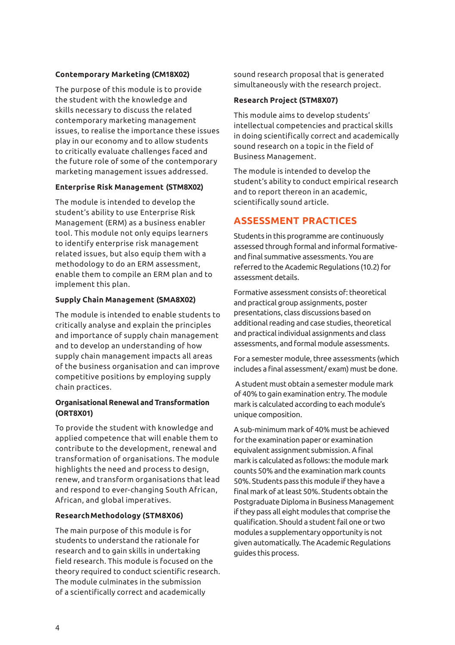#### **Contemporary Marketing (CM18X02)**

The purpose of this module is to provide the student with the knowledge and skills necessary to discuss the related contemporary marketing management issues, to realise the importance these issues play in our economy and to allow students to critically evaluate challenges faced and the future role of some of the contemporary marketing management issues addressed.

#### **Enterprise Risk Management (STM8X02)**

The module is intended to develop the student's ability to use Enterprise Risk Management (ERM) as a business enabler tool. This module not only equips learners to identify enterprise risk management related issues, but also equip them with a methodology to do an ERM assessment, enable them to compile an ERM plan and to implement this plan.

#### **Supply Chain Management (SMA8X02)**

The module is intended to enable students to critically analyse and explain the principles and importance of supply chain management and to develop an understanding of how supply chain management impacts all areas of the business organisation and can improve competitive positions by employing supply chain practices.

#### **Organisational Renewal and Transformation (ORT8X01)**

To provide the student with knowledge and applied competence that will enable them to contribute to the development, renewal and transformation of organisations. The module highlights the need and process to design, renew, and transform organisations that lead and respond to ever-changing South African, African, and global imperatives.

#### **Research Methodology (STM8X06)**

The main purpose of this module is for students to understand the rationale for research and to gain skills in undertaking field research. This module is focused on the theory required to conduct scientific research. The module culminates in the submission of a scientifically correct and academically

sound research proposal that is generated simultaneously with the research project.

#### **Research Project (STM8X07)**

This module aims to develop students' intellectual competencies and practical skills in doing scientifically correct and academically sound research on a topic in the field of Business Management.

The module is intended to develop the student's ability to conduct empirical research and to report thereon in an academic, scientifically sound article.

## **ASSESSMENT PRACTICES**

Students in this programme are continuously assessed through formal and informal formativeand final summative assessments. You are referred to the Academic Regulations (10.2) for assessment details.

Formative assessment consists of: theoretical and practical group assignments, poster presentations, class discussions based on additional reading and case studies, theoretical and practical individual assignments and class assessments, and formal module assessments.

For a semester module, three assessments (which includes a final assessment/ exam) must be done.

 A student must obtain a semester module mark of 40% to gain examination entry. The module mark is calculated according to each module's unique composition.

A sub-minimum mark of 40% must be achieved for the examination paper or examination equivalent assignment submission. A final mark is calculated as follows: the module mark counts 50% and the examination mark counts 50%. Students pass this module if they have a final mark of at least 50%. Students obtain the Postgraduate Diploma in Business Management if they pass all eight modules that comprise the qualification. Should a student fail one or two modules a supplementary opportunity is not given automatically. The Academic Regulations guides this process.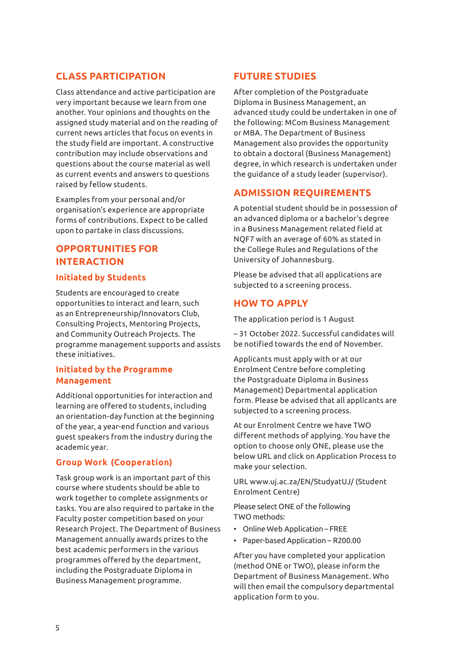## **CLASS PARTICIPATION**

Class attendance and active participation are very important because we learn from one another. Your opinions and thoughts on the assigned study material and on the reading of current news articles that focus on events in the study field are important. A constructive contribution may include observations and questions about the course material as well as current events and answers to questions raised by fellow students.

Examples from your personal and/or organisation's experience are appropriate forms of contributions. Expect to be called upon to partake in class discussions.

## **OPPORTUNITIES FOR INTERACTION**

#### **Initiated by Students**

Students are encouraged to create opportunities to interact and learn, such as an Entrepreneurship/Innovators Club, Consulting Projects, Mentoring Projects, and Community Outreach Projects. The programme management supports and assists these initiatives.

#### **Initiated by the Programme Management**

Additional opportunities for interaction and learning are offered to students, including an orientation-day function at the beginning of the year, a year-end function and various guest speakers from the industry during the academic year.

#### **Group Work (Cooperation)**

Task group work is an important part of this course where students should be able to work together to complete assignments or tasks. You are also required to partake in the Faculty poster competition based on your Research Project. The Department of Business Management annually awards prizes to the best academic performers in the various programmes offered by the department, including the Postgraduate Diploma in Business Management programme.

## **FUTURE STUDIES**

After completion of the Postgraduate Diploma in Business Management, an advanced study could be undertaken in one of the following: MCom Business Management or MBA. The Department of Business Management also provides the opportunity to obtain a doctoral (Business Management) degree, in which research is undertaken under the guidance of a study leader (supervisor).

## **ADMISSION REQUIREMENTS**

A potential student should be in possession of an advanced diploma or a bachelor's degree in a Business Management related field at NQF7 with an average of 60% as stated in the College Rules and Regulations of the University of Johannesburg.

Please be advised that all applications are subjected to a screening process.

## **HOW TO APPLY**

The application period is 1 August

– 31 October 2022. Successful candidates will be notified towards the end of November.

Applicants must apply with or at our Enrolment Centre before completing the Postgraduate Diploma in Business Management) Departmental application form. Please be advised that all applicants are subjected to a screening process.

At our Enrolment Centre we have TWO different methods of applying. You have the option to choose only ONE, please use the below URL and click on Application Process to make your selection.

URL www.uj.ac.za/EN/StudyatUJ/ (Student Enrolment Centre)

Please select ONE of the following TWO methods:

- Online Web Application FREE
- Paper-based Application R200.00

After you have completed your application (method ONE or TWO), please inform the Department of Business Management. Who will then email the compulsory departmental application form to you.